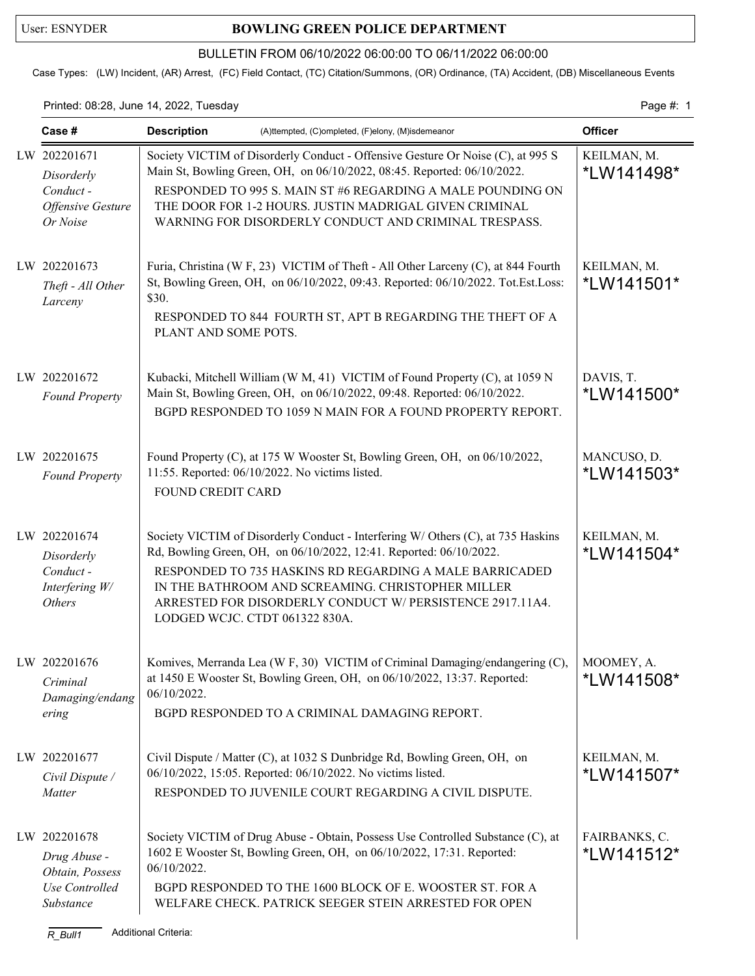## User: ESNYDER **BOWLING GREEN POLICE DEPARTMENT**

## BULLETIN FROM 06/10/2022 06:00:00 TO 06/11/2022 06:00:00

Case Types: (LW) Incident, (AR) Arrest, (FC) Field Contact, (TC) Citation/Summons, (OR) Ordinance, (TA) Accident, (DB) Miscellaneous Events

## Printed: 08:28, June 14, 2022, Tuesday Page #: 1

| Case #                                                                                        | <b>Description</b><br>(A)ttempted, (C)ompleted, (F)elony, (M)isdemeanor                                                                                                                                                                                                                                                                                               | <b>Officer</b>              |
|-----------------------------------------------------------------------------------------------|-----------------------------------------------------------------------------------------------------------------------------------------------------------------------------------------------------------------------------------------------------------------------------------------------------------------------------------------------------------------------|-----------------------------|
| LW 202201671<br>Disorderly<br>Conduct-<br>Offensive Gesture<br>Or Noise                       | Society VICTIM of Disorderly Conduct - Offensive Gesture Or Noise (C), at 995 S<br>Main St, Bowling Green, OH, on 06/10/2022, 08:45. Reported: 06/10/2022.<br>RESPONDED TO 995 S. MAIN ST #6 REGARDING A MALE POUNDING ON<br>THE DOOR FOR 1-2 HOURS. JUSTIN MADRIGAL GIVEN CRIMINAL<br>WARNING FOR DISORDERLY CONDUCT AND CRIMINAL TRESPASS.                          | KEILMAN, M.<br>*LW141498*   |
| LW 202201673<br>Theft - All Other<br>Larceny                                                  | Furia, Christina (W F, 23) VICTIM of Theft - All Other Larceny (C), at 844 Fourth<br>St, Bowling Green, OH, on 06/10/2022, 09:43. Reported: 06/10/2022. Tot.Est.Loss:<br>\$30.<br>RESPONDED TO 844 FOURTH ST, APT B REGARDING THE THEFT OF A<br>PLANT AND SOME POTS.                                                                                                  | KEILMAN, M.<br>*LW141501*   |
| LW 202201672<br><b>Found Property</b>                                                         | Kubacki, Mitchell William (W M, 41) VICTIM of Found Property (C), at 1059 N<br>Main St, Bowling Green, OH, on 06/10/2022, 09:48. Reported: 06/10/2022.<br>BGPD RESPONDED TO 1059 N MAIN FOR A FOUND PROPERTY REPORT.                                                                                                                                                  | DAVIS, T.<br>*LW141500*     |
| LW 202201675<br><b>Found Property</b>                                                         | Found Property (C), at 175 W Wooster St, Bowling Green, OH, on 06/10/2022,<br>11:55. Reported: 06/10/2022. No victims listed.<br>FOUND CREDIT CARD                                                                                                                                                                                                                    | MANCUSO, D.<br>*LW141503*   |
| LW 202201674<br>Disorderly<br>Conduct -<br>Interfering W/<br><b>Others</b>                    | Society VICTIM of Disorderly Conduct - Interfering W/ Others (C), at 735 Haskins<br>Rd, Bowling Green, OH, on 06/10/2022, 12:41. Reported: 06/10/2022.<br>RESPONDED TO 735 HASKINS RD REGARDING A MALE BARRICADED<br>IN THE BATHROOM AND SCREAMING. CHRISTOPHER MILLER<br>ARRESTED FOR DISORDERLY CONDUCT W/ PERSISTENCE 2917.11A4.<br>LODGED WCJC. CTDT 061322 830A. | KEILMAN, M.<br>*LW141504*   |
| LW 202201676<br>Criminal<br>Damaging/endang<br>ering                                          | Komives, Merranda Lea (W F, 30) VICTIM of Criminal Damaging/endangering (C),<br>at 1450 E Wooster St, Bowling Green, OH, on 06/10/2022, 13:37. Reported:<br>06/10/2022.<br>BGPD RESPONDED TO A CRIMINAL DAMAGING REPORT.                                                                                                                                              | MOOMEY, A.<br>*LW141508*    |
| LW 202201677<br>Civil Dispute /<br>Matter                                                     | Civil Dispute / Matter (C), at 1032 S Dunbridge Rd, Bowling Green, OH, on<br>06/10/2022, 15:05. Reported: 06/10/2022. No victims listed.<br>RESPONDED TO JUVENILE COURT REGARDING A CIVIL DISPUTE.                                                                                                                                                                    | KEILMAN, M.<br>*LW141507*   |
| LW 202201678<br>Drug Abuse -<br>Obtain, Possess<br>Use Controlled<br>Substance<br>$R$ $Bull1$ | Society VICTIM of Drug Abuse - Obtain, Possess Use Controlled Substance (C), at<br>1602 E Wooster St, Bowling Green, OH, on 06/10/2022, 17:31. Reported:<br>06/10/2022.<br>BGPD RESPONDED TO THE 1600 BLOCK OF E. WOOSTER ST. FOR A<br>WELFARE CHECK. PATRICK SEEGER STEIN ARRESTED FOR OPEN<br>Additional Criteria:                                                  | FAIRBANKS, C.<br>*LW141512* |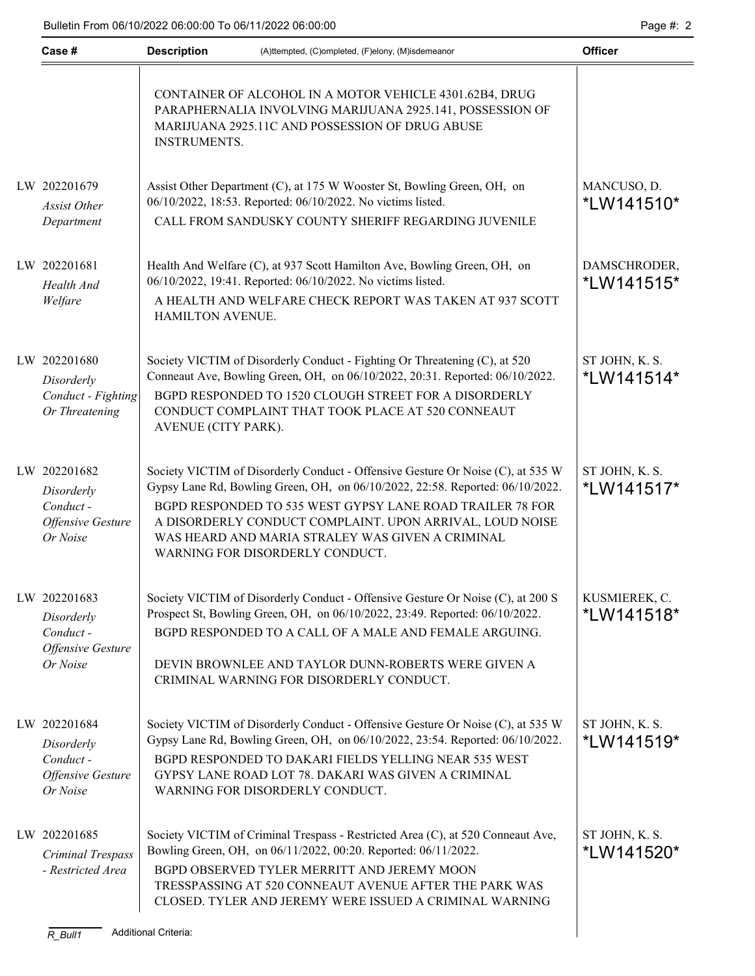| Case #                                                                         | <b>Description</b>  | (A)ttempted, (C)ompleted, (F)elony, (M)isdemeanor                                                                                                                                                                                                                                                                                                                                | <b>Officer</b>                     |  |  |  |
|--------------------------------------------------------------------------------|---------------------|----------------------------------------------------------------------------------------------------------------------------------------------------------------------------------------------------------------------------------------------------------------------------------------------------------------------------------------------------------------------------------|------------------------------------|--|--|--|
|                                                                                | <b>INSTRUMENTS.</b> | CONTAINER OF ALCOHOL IN A MOTOR VEHICLE 4301.62B4, DRUG<br>PARAPHERNALIA INVOLVING MARIJUANA 2925.141, POSSESSION OF<br>MARIJUANA 2925.11C AND POSSESSION OF DRUG ABUSE                                                                                                                                                                                                          |                                    |  |  |  |
| LW 202201679<br>Assist Other<br>Department                                     |                     | Assist Other Department (C), at 175 W Wooster St, Bowling Green, OH, on<br>06/10/2022, 18:53. Reported: 06/10/2022. No victims listed.<br>CALL FROM SANDUSKY COUNTY SHERIFF REGARDING JUVENILE                                                                                                                                                                                   | MANCUSO, D.<br>*LW141510*          |  |  |  |
| LW 202201681<br>Health And<br>Welfare                                          | HAMILTON AVENUE.    | Health And Welfare (C), at 937 Scott Hamilton Ave, Bowling Green, OH, on<br>06/10/2022, 19:41. Reported: 06/10/2022. No victims listed.<br>A HEALTH AND WELFARE CHECK REPORT WAS TAKEN AT 937 SCOTT                                                                                                                                                                              | DAMSCHRODER,<br><i>*</i> LW141515* |  |  |  |
| LW 202201680<br>Disorderly<br>Conduct - Fighting<br>Or Threatening             | AVENUE (CITY PARK). | Society VICTIM of Disorderly Conduct - Fighting Or Threatening (C), at 520<br>Conneaut Ave, Bowling Green, OH, on 06/10/2022, 20:31. Reported: 06/10/2022.<br>BGPD RESPONDED TO 1520 CLOUGH STREET FOR A DISORDERLY<br>CONDUCT COMPLAINT THAT TOOK PLACE AT 520 CONNEAUT                                                                                                         | ST JOHN, K. S.<br>*LW141514*       |  |  |  |
| LW 202201682<br>Disorderly<br>Conduct-<br><b>Offensive Gesture</b><br>Or Noise |                     | Society VICTIM of Disorderly Conduct - Offensive Gesture Or Noise (C), at 535 W<br>Gypsy Lane Rd, Bowling Green, OH, on 06/10/2022, 22:58. Reported: 06/10/2022.<br>BGPD RESPONDED TO 535 WEST GYPSY LANE ROAD TRAILER 78 FOR<br>A DISORDERLY CONDUCT COMPLAINT. UPON ARRIVAL, LOUD NOISE<br>WAS HEARD AND MARIA STRALEY WAS GIVEN A CRIMINAL<br>WARNING FOR DISORDERLY CONDUCT. | ST JOHN, K. S.<br>*LW141517*       |  |  |  |
| LW 202201683<br>Disorderly<br>Conduct-<br>Offensive Gesture<br>Or Noise        |                     | Society VICTIM of Disorderly Conduct - Offensive Gesture Or Noise (C), at 200 S<br>Prospect St, Bowling Green, OH, on 06/10/2022, 23:49. Reported: 06/10/2022.<br>BGPD RESPONDED TO A CALL OF A MALE AND FEMALE ARGUING.<br>DEVIN BROWNLEE AND TAYLOR DUNN-ROBERTS WERE GIVEN A<br>CRIMINAL WARNING FOR DISORDERLY CONDUCT.                                                      | KUSMIEREK, C.<br>*LW141518*        |  |  |  |
| LW 202201684<br>Disorderly<br>Conduct -<br>Offensive Gesture<br>Or Noise       |                     | Society VICTIM of Disorderly Conduct - Offensive Gesture Or Noise (C), at 535 W<br>Gypsy Lane Rd, Bowling Green, OH, on 06/10/2022, 23:54. Reported: 06/10/2022.<br>BGPD RESPONDED TO DAKARI FIELDS YELLING NEAR 535 WEST<br>GYPSY LANE ROAD LOT 78. DAKARI WAS GIVEN A CRIMINAL<br>WARNING FOR DISORDERLY CONDUCT.                                                              | ST JOHN, K. S.<br>*LW141519*       |  |  |  |
| LW 202201685<br>Criminal Trespass<br>- Restricted Area                         |                     | Society VICTIM of Criminal Trespass - Restricted Area (C), at 520 Conneaut Ave,<br>Bowling Green, OH, on 06/11/2022, 00:20. Reported: 06/11/2022.<br>BGPD OBSERVED TYLER MERRITT AND JEREMY MOON<br>TRESSPASSING AT 520 CONNEAUT AVENUE AFTER THE PARK WAS<br>CLOSED. TYLER AND JEREMY WERE ISSUED A CRIMINAL WARNING                                                            | ST JOHN, K. S.<br>*LW141520*       |  |  |  |
| <b>Additional Criteria:</b><br>$R$ _Bull1                                      |                     |                                                                                                                                                                                                                                                                                                                                                                                  |                                    |  |  |  |